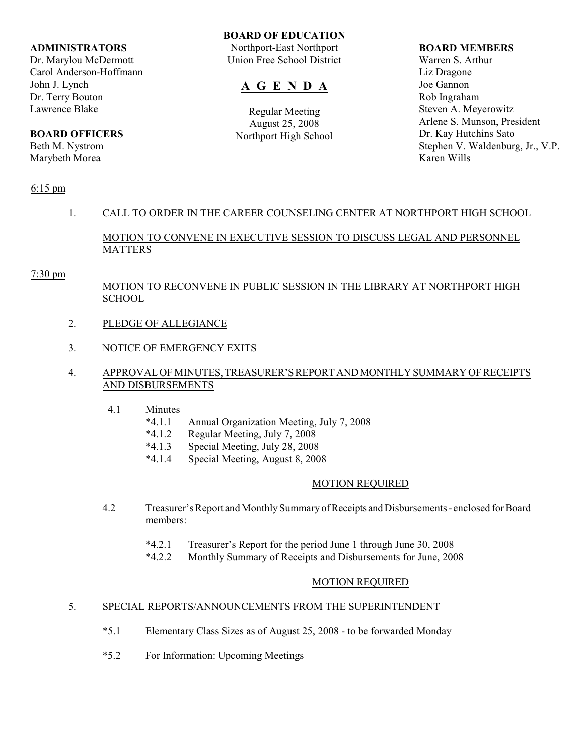#### **ADMINISTRATORS**

Dr. Marylou McDermott Carol Anderson-Hoffmann John J. Lynch Dr. Terry Bouton Lawrence Blake

# **BOARD OFFICERS**

Beth M. Nystrom Marybeth Morea

## **BOARD OF EDUCATION**

Northport-East Northport Union Free School District

# **A G E N D A**

Regular Meeting August 25, 2008 Northport High School

#### **BOARD MEMBERS**

Warren S. Arthur Liz Dragone Joe Gannon Rob Ingraham Steven A. Meyerowitz Arlene S. Munson, President Dr. Kay Hutchins Sato Stephen V. Waldenburg, Jr., V.P. Karen Wills

## 6:15 pm

# 1. CALL TO ORDER IN THE CAREER COUNSELING CENTER AT NORTHPORT HIGH SCHOOL

MOTION TO CONVENE IN EXECUTIVE SESSION TO DISCUSS LEGAL AND PERSONNEL MATTERS

#### 7:30 pm

# MOTION TO RECONVENE IN PUBLIC SESSION IN THE LIBRARY AT NORTHPORT HIGH **SCHOOL**

- 2. PLEDGE OF ALLEGIANCE
- 3. NOTICE OF EMERGENCY EXITS

# 4. APPROVAL OF MINUTES, TREASURER'S REPORT AND MONTHLY SUMMARY OF RECEIPTS AND DISBURSEMENTS

- 4.1 Minutes
	- \*4.1.1 Annual Organization Meeting, July 7, 2008
	- \*4.1.2 Regular Meeting, July 7, 2008
	- \*4.1.3 Special Meeting, July 28, 2008
	- \*4.1.4 Special Meeting, August 8, 2008

## MOTION REQUIRED

- 4.2 Treasurer's Report and Monthly Summary of Receipts and Disbursements enclosed for Board members:
	- \*4.2.1 Treasurer's Report for the period June 1 through June 30, 2008
	- \*4.2.2 Monthly Summary of Receipts and Disbursements for June, 2008

## MOTION REQUIRED

# 5. SPECIAL REPORTS/ANNOUNCEMENTS FROM THE SUPERINTENDENT

- \*5.1 Elementary Class Sizes as of August 25, 2008 to be forwarded Monday
- \*5.2 For Information: Upcoming Meetings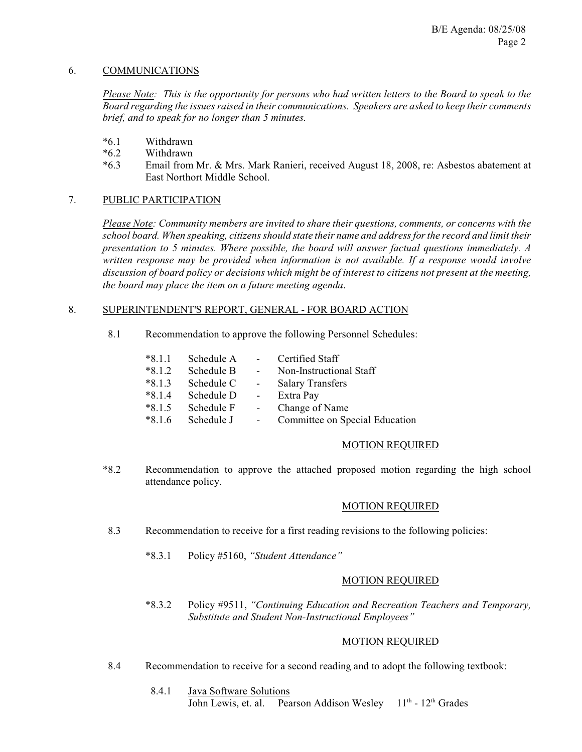## 6. COMMUNICATIONS

*Please Note: This is the opportunity for persons who had written letters to the Board to speak to the Board regarding the issues raised in their communications. Speakers are asked to keep their comments brief, and to speak for no longer than 5 minutes.*

- \*6.1 Withdrawn
- \*6.2 Withdrawn
- \*6.3 Email from Mr. & Mrs. Mark Ranieri, received August 18, 2008, re: Asbestos abatement at East Northort Middle School.

#### 7. PUBLIC PARTICIPATION

*Please Note: Community members are invited to share their questions, comments, or concerns with the school board. When speaking, citizens should state their name and address for the record and limit their presentation to 5 minutes. Where possible, the board will answer factual questions immediately. A written response may be provided when information is not available. If a response would involve discussion of board policy or decisions which might be of interest to citizens not present at the meeting, the board may place the item on a future meeting agenda*.

#### 8. SUPERINTENDENT'S REPORT, GENERAL - FOR BOARD ACTION

8.1 Recommendation to approve the following Personnel Schedules:

| $*8.1.1$ | Schedule A | $\sim$          | Certified Staff                |
|----------|------------|-----------------|--------------------------------|
| $*8.1.2$ | Schedule B | $\sim$ 10 $\pm$ | Non-Instructional Staff        |
| $*8.1.3$ | Schedule C | $\sim$ 10 $\pm$ | <b>Salary Transfers</b>        |
| $*8.1.4$ | Schedule D | $\sim$ $-$      | Extra Pay                      |
| $*8.1.5$ | Schedule F |                 | Change of Name                 |
| $*816$   | Schedule J |                 | Committee on Special Education |

#### MOTION REQUIRED

\*8.2 Recommendation to approve the attached proposed motion regarding the high school attendance policy.

#### MOTION REQUIRED

- 8.3 Recommendation to receive for a first reading revisions to the following policies:
	- \*8.3.1 Policy #5160, *"Student Attendance"*

#### MOTION REQUIRED

\*8.3.2 Policy #9511, *"Continuing Education and Recreation Teachers and Temporary, Substitute and Student Non-Instructional Employees"*

#### MOTION REQUIRED

- 8.4 Recommendation to receive for a second reading and to adopt the following textbook:
	- 8.4.1 Java Software Solutions John Lewis, et. al. Pearson Addison Wesley 11<sup>th</sup> - 12<sup>th</sup> Grades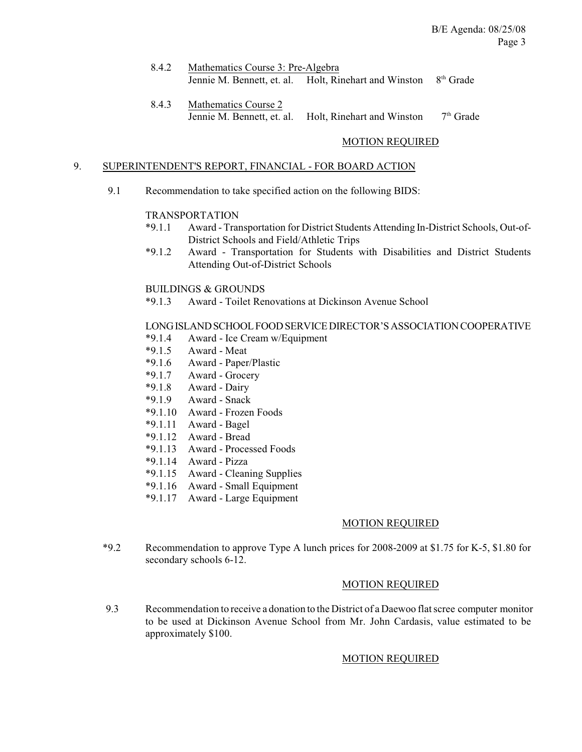| 8.4.2 | Mathematics Course 3: Pre-Algebra |                                                                             |  |
|-------|-----------------------------------|-----------------------------------------------------------------------------|--|
|       |                                   | Jennie M. Bennett, et. al. Holt, Rinehart and Winston 8 <sup>th</sup> Grade |  |

 8.4.3 Mathematics Course 2 Jennie M. Bennett, et. al. Holt, Rinehart and Winston  $7<sup>th</sup>$  Grade

## MOTION REQUIRED

#### 9. SUPERINTENDENT'S REPORT, FINANCIAL - FOR BOARD ACTION

9.1 Recommendation to take specified action on the following BIDS:

#### TRANSPORTATION

- \*9.1.1 Award Transportation for District Students Attending In-District Schools, Out-of-District Schools and Field/Athletic Trips
- \*9.1.2 Award Transportation for Students with Disabilities and District Students Attending Out-of-District Schools

#### BUILDINGS & GROUNDS

\*9.1.3 Award - Toilet Renovations at Dickinson Avenue School

## LONG ISLAND SCHOOL FOOD SERVICE DIRECTOR'S ASSOCIATION COOPERATIVE

- \*9.1.4 Award Ice Cream w/Equipment
- Award Meat
- \*9.1.6 Award Paper/Plastic
- \*9.1.7 Award Grocery
- \*9.1.8 Award Dairy
- Award Snack
- \*9.1.10 Award Frozen Foods
- \*9.1.11 Award Bagel
- \*9.1.12 Award Bread
- \*9.1.13 Award Processed Foods
- \*9.1.14 Award Pizza
- \*9.1.15 Award Cleaning Supplies
- \*9.1.16 Award Small Equipment
- \*9.1.17 Award Large Equipment

#### MOTION REQUIRED

\*9.2 Recommendation to approve Type A lunch prices for 2008-2009 at \$1.75 for K-5, \$1.80 for secondary schools 6-12.

## MOTION REQUIRED

 9.3 Recommendation to receive a donation to the District of a Daewoo flat scree computer monitor to be used at Dickinson Avenue School from Mr. John Cardasis, value estimated to be approximately \$100.

## MOTION REQUIRED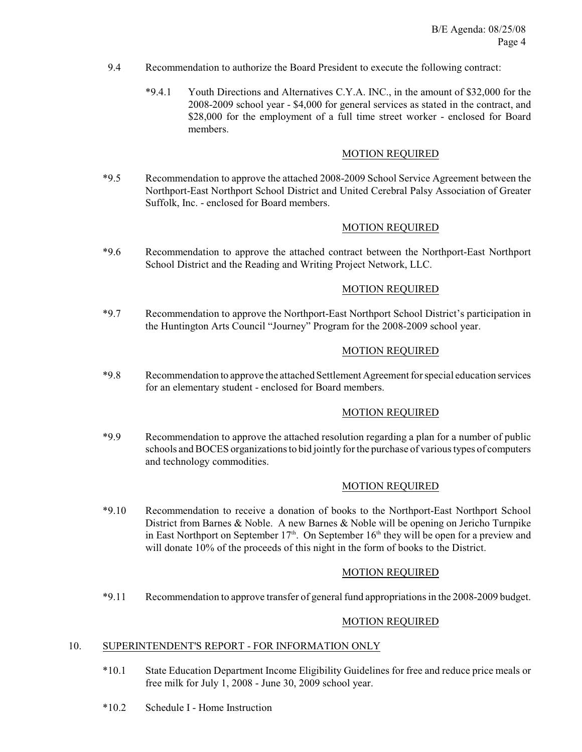- 9.4 Recommendation to authorize the Board President to execute the following contract:
	- \*9.4.1 Youth Directions and Alternatives C.Y.A. INC., in the amount of \$32,000 for the 2008-2009 school year - \$4,000 for general services as stated in the contract, and \$28,000 for the employment of a full time street worker - enclosed for Board members.

## MOTION REQUIRED

\*9.5 Recommendation to approve the attached 2008-2009 School Service Agreement between the Northport-East Northport School District and United Cerebral Palsy Association of Greater Suffolk, Inc. - enclosed for Board members.

## MOTION REQUIRED

\*9.6 Recommendation to approve the attached contract between the Northport-East Northport School District and the Reading and Writing Project Network, LLC.

#### MOTION REQUIRED

\*9.7 Recommendation to approve the Northport-East Northport School District's participation in the Huntington Arts Council "Journey" Program for the 2008-2009 school year.

#### MOTION REQUIRED

\*9.8 Recommendation to approve the attached Settlement Agreement for special education services for an elementary student - enclosed for Board members.

#### MOTION REQUIRED

\*9.9 Recommendation to approve the attached resolution regarding a plan for a number of public schools and BOCES organizations to bid jointly for the purchase of various types of computers and technology commodities.

## MOTION REQUIRED

\*9.10 Recommendation to receive a donation of books to the Northport-East Northport School District from Barnes & Noble. A new Barnes  $\&$  Noble will be opening on Jericho Turnpike in East Northport on September  $17<sup>th</sup>$ . On September  $16<sup>th</sup>$  they will be open for a preview and will donate 10% of the proceeds of this night in the form of books to the District.

## MOTION REQUIRED

\*9.11 Recommendation to approve transfer of general fund appropriations in the 2008-2009 budget.

## MOTION REQUIRED

#### 10. SUPERINTENDENT'S REPORT - FOR INFORMATION ONLY

- \*10.1 State Education Department Income Eligibility Guidelines for free and reduce price meals or free milk for July 1, 2008 - June 30, 2009 school year.
- \*10.2 Schedule I Home Instruction